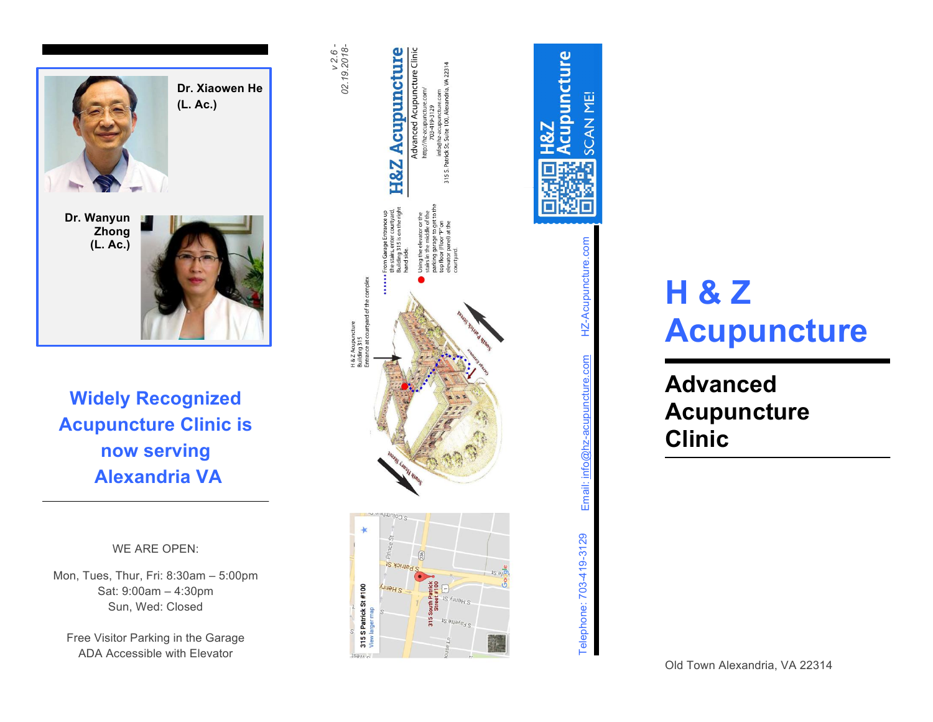

### **Widely Recognized Acupuncture Clinic is now serving Alexandria VA**

#### WE ARE OPEN:

Mon, Tues, Thur, Fri: 8:30am - 5:00pm Sat: 9:00am – 4:30pm Sun, Wed: Closed

Free Visitor Parking in the Garage ADA Accessible with Elevator



# **SCAN ME!** Email: info@hz-acupuncture.com HZ-Acupuncture.com cor HZ-Acupuncture com info Email: j Telephone: 703-419-3129 Telephone: 703-419-3129

Acupuncture

## **H & Z Acupuncture**

**Advanced Acupuncture Clinic**